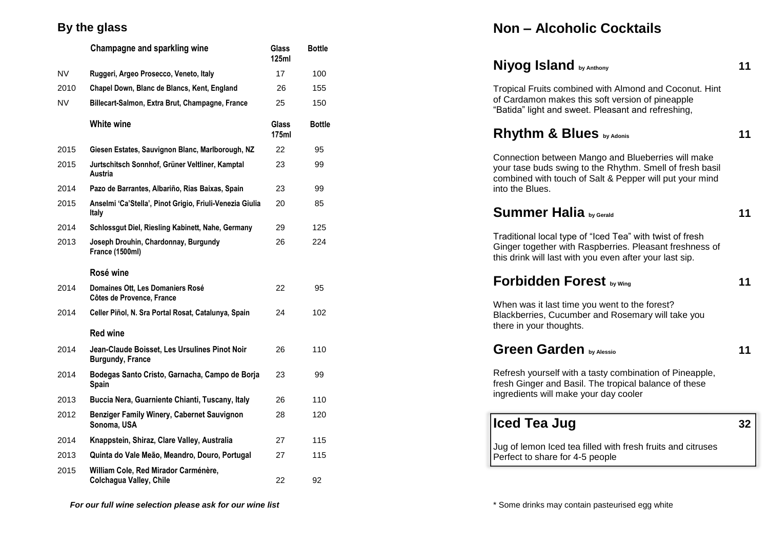#### **By the glass**

|           | Champagne and sparkling wine                                             | Glass<br>125ml        | <b>Bottle</b> |
|-----------|--------------------------------------------------------------------------|-----------------------|---------------|
| <b>NV</b> | Ruggeri, Argeo Prosecco, Veneto, Italy                                   | 17                    | 100           |
| 2010      | Chapel Down, Blanc de Blancs, Kent, England                              | 26                    | 155           |
| <b>NV</b> | Billecart-Salmon, Extra Brut, Champagne, France                          | 25                    | 150           |
|           | White wine                                                               | <b>Glass</b><br>175ml | <b>Bottle</b> |
| 2015      | Giesen Estates, Sauvignon Blanc, Marlborough, NZ                         | 22                    | 95            |
| 2015      | Jurtschitsch Sonnhof, Grüner Veltliner, Kamptal<br>Austria               | 23                    | 99            |
| 2014      | Pazo de Barrantes, Albariño, Rias Baixas, Spain                          | 23                    | 99            |
| 2015      | Anselmi 'Ca'Stella', Pinot Grigio, Friuli-Venezia Giulia<br>Italy        | 20                    | 85            |
| 2014      | Schlossgut Diel, Riesling Kabinett, Nahe, Germany                        | 29                    | 125           |
| 2013      | Joseph Drouhin, Chardonnay, Burgundy<br>France (1500ml)                  | 26                    | 224           |
|           | Rosé wine                                                                |                       |               |
| 2014      | Domaines Ott, Les Domaniers Rosé<br>Côtes de Provence, France            | 22                    | 95            |
| 2014      | Celler Piñol, N. Sra Portal Rosat, Catalunya, Spain                      | 24                    | 102           |
|           | <b>Red wine</b>                                                          |                       |               |
| 2014      | Jean-Claude Boisset, Les Ursulines Pinot Noir<br><b>Burgundy, France</b> | 26                    | 110           |
| 2014      | Bodegas Santo Cristo, Garnacha, Campo de Borja<br>Spain                  | 23                    | 99            |
| 2013      | Buccia Nera, Guarniente Chianti, Tuscany, Italy                          | 26                    | 110           |
| 2012      | Benziger Family Winery, Cabernet Sauvignon<br>Sonoma, USA                | 28                    | 120           |
| 2014      | Knappstein, Shiraz, Clare Valley, Australia                              | 27                    | 115           |
| 2013      | Quinta do Vale Meão, Meandro, Douro, Portugal                            | 27                    | 115           |
| 2015      | William Cole, Red Mirador Carménère,<br>Colchagua Valley, Chile          | 22                    | 92            |

# **Non – Alcoholic Cocktails**

| Niyog Island by Anthony                                                                                                                                                                      | 11 |
|----------------------------------------------------------------------------------------------------------------------------------------------------------------------------------------------|----|
| Tropical Fruits combined with Almond and Coconut. Hint<br>of Cardamon makes this soft version of pineapple<br>"Batida" light and sweet. Pleasant and refreshing,                             |    |
| Rhythm & Blues by Adonis                                                                                                                                                                     | 11 |
| Connection between Mango and Blueberries will make<br>your tase buds swing to the Rhythm. Smell of fresh basil<br>combined with touch of Salt & Pepper will put your mind<br>into the Blues. |    |
| <b>Summer Halia</b> by Gerald                                                                                                                                                                | 11 |
| Traditional local type of "Iced Tea" with twist of fresh<br>Ginger together with Raspberries. Pleasant freshness of<br>this drink will last with you even after your last sip.               |    |
| <b>Forbidden Forest by Wing</b>                                                                                                                                                              | 11 |
| When was it last time you went to the forest?<br>Blackberries, Cucumber and Rosemary will take you<br>there in your thoughts.                                                                |    |
| <b>Green Garden by Alessio</b>                                                                                                                                                               | 11 |
| Refresh yourself with a tasty combination of Pineapple,<br>fresh Ginger and Basil. The tropical balance of these<br>ingredients will make your day cooler                                    |    |
| <b>Iced Tea Jug</b>                                                                                                                                                                          | 32 |
| Jug of lemon Iced tea filled with fresh fruits and citruses<br>Perfect to share for 4-5 people                                                                                               |    |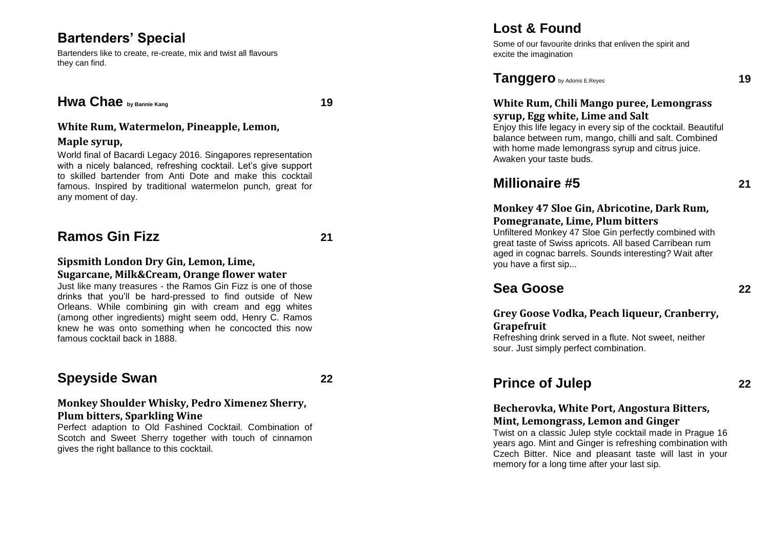## **Bartenders' Special**

Bartenders like to create, re -create, mix and twist all flavours they can find.

#### **Hwa Chae by Bannie Kang 19**

#### **White Rum, Watermelon, Pineapple, Lemon,**

#### **Maple syrup,**

World final of Bacardi Legacy 2016. Singapores representation with a nicely balanced, refreshing cocktail. Let's give support to skilled bartender from Anti Dote and make this cocktail famous. Inspired by traditional watermelon punch, great for any moment of day.

## **Ramos Gin Fizz 21**

#### **Sipsmith London Dry Gin, Lemon, Lime, Sugarcane, Milk&Cream, Orange flower water**

Just like many treasures - the Ramos Gin Fizz is one of those drinks that you'll be hard -pressed to find outside of New Orleans. While combining gin with cream and egg whites (among other ingredients) might seem odd, Henry C. Ramos knew he was onto something when he concocted this now famous cocktail back in 1888.

## **Speyside Swan 22**

#### **Monkey Shoulder Whisky, Pedro Ximenez Sherry, Plum bitters, Sparkling Wine**

Perfect adaption to Old Fa shined Cocktail. Combination of Scotch and Sweet Sherry together with touch of cinnamon gives the right ballance to this cocktail.

### **Lost & Found**

Some of our favourite drinks that enliven the spirit and excite the imagination

#### **Tanggero** by Adonis E.Reyes **19**

#### **White Rum, Chili Mango puree, Lemongrass syrup, Egg white, Lime and Salt**

Enjoy this life legacy in every sip of the cocktail. Beautiful balance between rum, mango, chilli and salt. Combined with home made lemongrass syrup and citrus juice. Awaken your taste buds.

### **Millionaire #5 21**

#### **Monkey 47 Sloe Gin, Abricotine, Dark Rum, Pomegranate, Lime, Plum bitters**

Unfiltered Monkey 47 Sloe Gin perfectly combined with great taste of Swiss apricots. All based Carribean rum aged in cognac barrels. Sounds interesting? Wait after you have a first sip...

## **Sea Goose 22**

#### **Grey Goose Vodka, Peach liqueur, Cranberry, Grapefruit**

Refreshing drink served in a flute. Not sweet, neither sour. Just simply perfect combination .

## **Prince of Julep 22**

#### **Becherovka, White Port, Angostura Bitters, Mint, Lemongrass, Lemon and Ginger**

Twist on a classic Julep style cocktail made in Prague 16 years ago. Mint and Ginger is refreshing combination with Czech Bitter. Nice and pleasant taste will last in your memory for a long time after your last sip.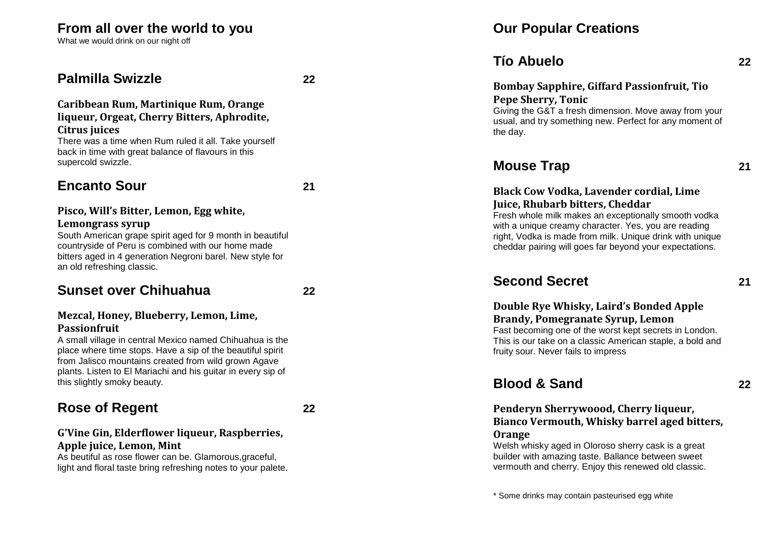## **From all over the world to you**

What we would drink on our night off

### **Palmilla Swizzle 22**

#### **Caribbean Rum, Martinique Rum, Orange liqueur, Orgeat, Cherry Bitters, Aphrodite, Citrus juices**

There was a time when Rum ruled it all. Take yourself back in time with great balance of flavours in this supercold swizzle.

## **Encanto Sour 21**

#### **Pisco, Will's Bitter, Lemon, Egg white, Lemongrass syrup**

South American grape spirit aged for 9 month in beautiful countryside of Peru is combined with our home made bitters aged in 4 generation Negroni barel. New style for an old refreshing classic.

#### **Sunset over Chihuahua 22**

#### **Mezcal, Honey, Blueberry, Lemon, Lime, Passionfruit**

A small village in central Mexico named Chihuahua is the place where time stops. Have a sip of the beautiful spirit from Jalisco mountains created from wild grown Agave plants. Listen to El Mariachi and his guitar in every sip of this slightly smoky beauty.

## **Rose of Regent 22**

#### **G'Vine Gin, Elderflower liqueur, Raspberries, Apple juice, Lemon, Mint**

As beutiful as rose flower can be. Glamorous, graceful, light and floral taste bring refreshing notes to your palete.

## **Our Popular Creations**

## **Tío Abuelo 22**

#### **Bombay Sapphire, Giffard Passionfruit, Tio Pepe Sherry, Tonic**

Giving the G&T a fresh dimension. Move away from your usual, and try something new. Perfect for any moment of the day .

#### **Mouse Trap 21**

#### **Black Cow Vodka, Lavender cordial, Lime Juice, Rhubarb bitters, Cheddar**

Fresh whole milk makes an exceptionally smooth vodka with a unique creamy character. Yes, you are reading right, Vodka is made from milk. Unique drink with unique cheddar pairing will goes far beyond your expectations.

## **Second Secret 21**

### **Double Rye Whisky, Laird's Bonded Apple Brandy, Pomegranate Syrup, Lemon**

Fast becoming one of the worst kept secrets in London. This is our take on a classic American staple, a bold and fruity sour. Never fails to impress

## **Blood & Sand 22**

#### **Penderyn Sherrywoood, Cherry liqueur, Bianco Vermouth, Whisky barrel aged bitters, Orange**

Welsh whisky aged in Oloroso sherry cask is a great builder with amazing taste. Ballance between sweet vermouth and cherry. Enjoy this renewed old classic.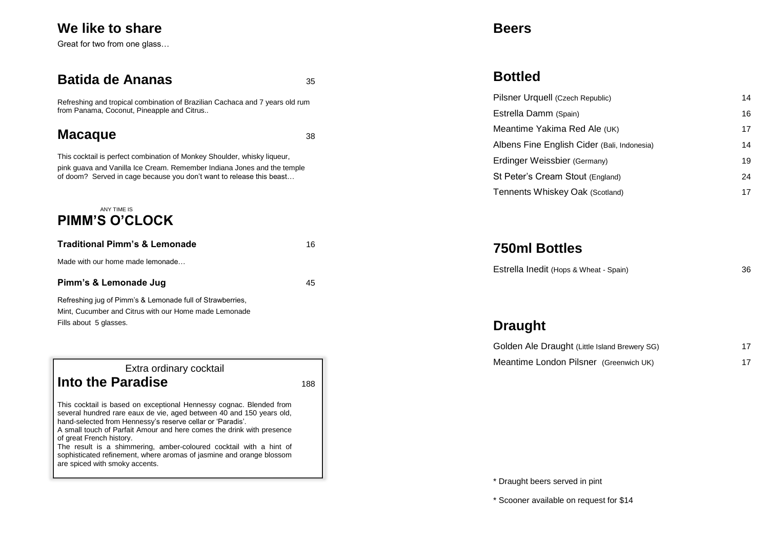## **We like to share**

Great for two from one glass…

#### **Batida de Ananas bota 35**

Refreshing and tropical combination of Brazilian Cachaca and 7 years old rum from Panama, Coconut, Pineapple and Citrus..

## **Macaque** 38

This cocktail is perfect combination of Monkey Shoulder, whisky liqueur, pink guava and Vanilla Ice Cream. Remember Indiana Jones and the temple of doom? Served in cage because you don't want to release this beast…

#### ANY TIME IS **PIMM'S O'CLOCK**

| <b>Traditional Pimm's &amp; Lemonade</b>                  | 16 |
|-----------------------------------------------------------|----|
| Made with our home made lemonade                          |    |
| Pimm's & Lemonade Jug                                     | 45 |
| Refreshing jug of Pimm's & Lemonade full of Strawberries. |    |

Mint, Cucumber and Citrus with our Home made Lemonade Fills about 5 glasses.



This cocktail is based on exceptional Hennessy cognac. Blended from several hundred rare eaux de vie, aged between 40 and 150 years old, hand-selected fro[m Hennessy's](http://www.cognacfans.com/brands/hennessy/) reserve cellar or 'Paradis'.

A small touch of Parfait Amour and here comes the drink with presence of great French history.

The result is a shimmering, amber-coloured cocktail with a hint of sophisticated refinement, where aromas of jasmine and orange blossom are spiced with smoky accents.

#### **Beers**

## **Bottled**

| Pilsner Urquell (Czech Republic)            | 14 |
|---------------------------------------------|----|
| Estrella Damm (Spain)                       | 16 |
| Meantime Yakima Red Ale (UK)                | 17 |
| Albens Fine English Cider (Bali, Indonesia) | 14 |
| Erdinger Weissbier (Germany)                | 19 |
| St Peter's Cream Stout (England)            | 24 |
| Tennents Whiskey Oak (Scotland)             | 17 |

### **750ml Bottles**

Estrella Inedit (Hops & Wheat - Spain) 36

## **Draught**

| Golden Ale Draught (Little Island Brewery SG) | 17 |
|-----------------------------------------------|----|
| Meantime London Pilsner (Greenwich UK)        | 17 |

\* Draught beers served in pint

\* Scooner available on request for \$14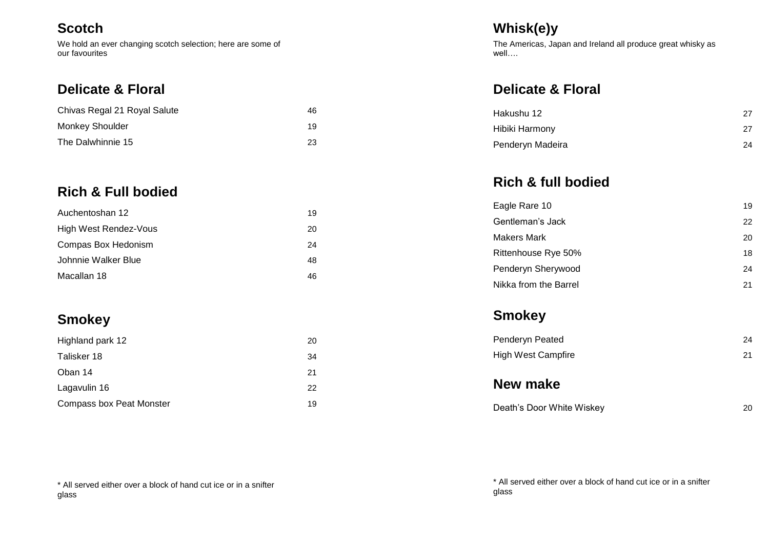### **Scotch**

We hold an ever changing scotch selection; here are some of our favourites

## **Delicate & Floral**

| Chivas Regal 21 Royal Salute | 46 |
|------------------------------|----|
| Monkey Shoulder              | 19 |
| The Dalwhinnie 15            | 23 |

# **Rich & Full bodied**

| Auchentoshan 12       | 19 |
|-----------------------|----|
| High West Rendez-Vous | 20 |
| Compas Box Hedonism   | 24 |
| Johnnie Walker Blue   | 48 |
| Macallan 18           | 46 |

# **Smokey**

| Highland park 12                | 20 |
|---------------------------------|----|
| Talisker 18                     | 34 |
| Oban 14                         | 21 |
| Lagavulin 16                    | 22 |
| <b>Compass box Peat Monster</b> | 19 |

# **Whisk(e)y**

The Americas, Japan and Ireland all produce great whisky as well….

# **Delicate & Floral**

| Hakushu 12       | 27 |
|------------------|----|
| Hibiki Harmony   | 27 |
| Penderyn Madeira | 24 |

**Rich & full bodied**

| Eagle Rare 10         | 19 |
|-----------------------|----|
| Gentleman's Jack      | 22 |
| Makers Mark           | 20 |
| Rittenhouse Rye 50%   | 18 |
| Penderyn Sherywood    | 24 |
| Nikka from the Barrel | 21 |

# **Smokey**

| Penderyn Peated           | 24 |
|---------------------------|----|
| <b>High West Campfire</b> | 21 |

**New make**

| Death's Door White Wiskey |  |
|---------------------------|--|
|                           |  |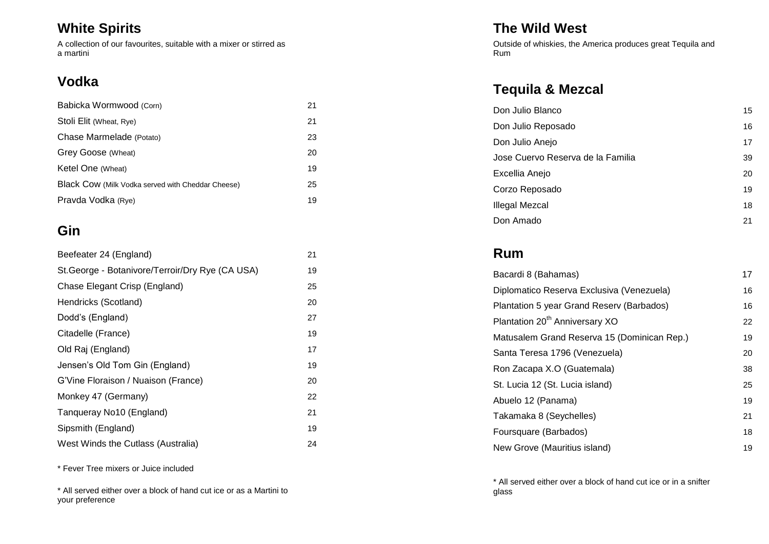# **White Spirits**

A collection of our favourites, suitable with a mixer or stirred as a martini

# **Vodka**

| Babicka Wormwood (Corn)                           | 21 |
|---------------------------------------------------|----|
| Stoli Elit (Wheat, Rye)                           | 21 |
| Chase Marmelade (Potato)                          | 23 |
| Grey Goose (Wheat)                                | 20 |
| Ketel One (Wheat)                                 | 19 |
| Black Cow (Milk Vodka served with Cheddar Cheese) | 25 |
| Pravda Vodka (Rye)                                | 19 |

# **Gin**

| Beefeater 24 (England)                           | 21 |
|--------------------------------------------------|----|
| St. George - Botanivore/Terroir/Dry Rye (CA USA) | 19 |
| Chase Elegant Crisp (England)                    | 25 |
| Hendricks (Scotland)                             | 20 |
| Dodd's (England)                                 | 27 |
| Citadelle (France)                               | 19 |
| Old Raj (England)                                | 17 |
| Jensen's Old Tom Gin (England)                   | 19 |
| G'Vine Floraison / Nuaison (France)              | 20 |
| Monkey 47 (Germany)                              | 22 |
| Tanqueray No10 (England)                         | 21 |
| Sipsmith (England)                               | 19 |
| West Winds the Cutlass (Australia)               | 24 |

\* Fever Tree mixers or Juice included

\* All served either over a block of hand cut ice or as a Martini to your preference

## **The Wild West**

Outside of whiskies, the America produces great Tequila and Rum

# **Tequila & Mezcal**

| Don Julio Blanco                  | 15 |
|-----------------------------------|----|
| Don Julio Reposado                | 16 |
| Don Julio Anejo                   | 17 |
| Jose Cuervo Reserva de la Familia | 39 |
| Excellia Anejo                    | 20 |
| Corzo Reposado                    | 19 |
| Illegal Mezcal                    | 18 |
| Don Amado                         | 21 |

## **Rum**

| Bacardi 8 (Bahamas)                         | 17 |
|---------------------------------------------|----|
| Diplomatico Reserva Exclusiva (Venezuela)   | 16 |
| Plantation 5 year Grand Reserv (Barbados)   | 16 |
| Plantation 20 <sup>th</sup> Anniversary XO  | 22 |
| Matusalem Grand Reserva 15 (Dominican Rep.) | 19 |
| Santa Teresa 1796 (Venezuela)               | 20 |
| Ron Zacapa X.O (Guatemala)                  | 38 |
| St. Lucia 12 (St. Lucia island)             | 25 |
| Abuelo 12 (Panama)                          | 19 |
| Takamaka 8 (Seychelles)                     | 21 |
| Foursquare (Barbados)                       | 18 |
| New Grove (Mauritius island)                | 19 |

\* All served either over a block of hand cut ice or in a snifter glass